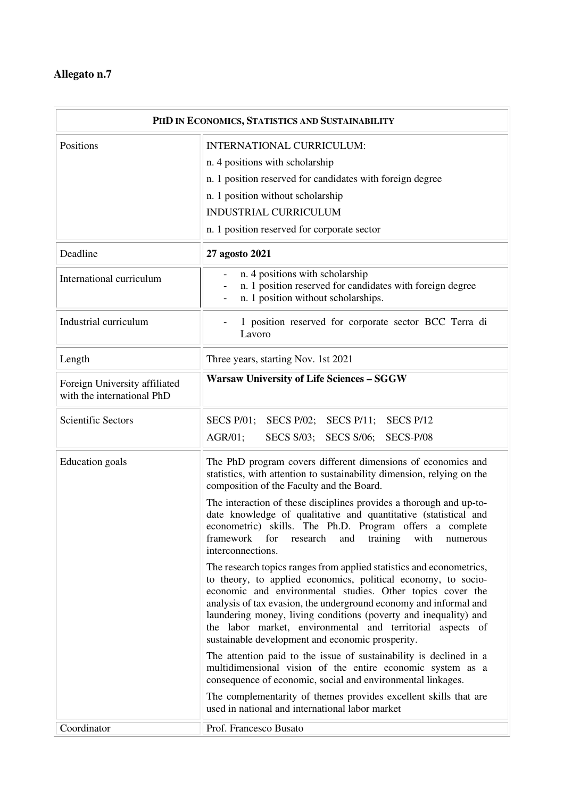۰

| PHD IN ECONOMICS, STATISTICS AND SUSTAINABILITY             |                                                                                                                                                                                                                                                                                                                                                                                                                                                                |
|-------------------------------------------------------------|----------------------------------------------------------------------------------------------------------------------------------------------------------------------------------------------------------------------------------------------------------------------------------------------------------------------------------------------------------------------------------------------------------------------------------------------------------------|
| Positions                                                   | <b>INTERNATIONAL CURRICULUM:</b>                                                                                                                                                                                                                                                                                                                                                                                                                               |
|                                                             | n. 4 positions with scholarship                                                                                                                                                                                                                                                                                                                                                                                                                                |
|                                                             | n. 1 position reserved for candidates with foreign degree                                                                                                                                                                                                                                                                                                                                                                                                      |
|                                                             | n. 1 position without scholarship                                                                                                                                                                                                                                                                                                                                                                                                                              |
|                                                             | <b>INDUSTRIAL CURRICULUM</b>                                                                                                                                                                                                                                                                                                                                                                                                                                   |
|                                                             | n. 1 position reserved for corporate sector                                                                                                                                                                                                                                                                                                                                                                                                                    |
| Deadline                                                    | 27 agosto 2021                                                                                                                                                                                                                                                                                                                                                                                                                                                 |
| International curriculum                                    | n. 4 positions with scholarship<br>n. 1 position reserved for candidates with foreign degree<br>n. 1 position without scholarships.                                                                                                                                                                                                                                                                                                                            |
| Industrial curriculum                                       | 1 position reserved for corporate sector BCC Terra di<br>Lavoro                                                                                                                                                                                                                                                                                                                                                                                                |
| Length                                                      | Three years, starting Nov. 1st 2021                                                                                                                                                                                                                                                                                                                                                                                                                            |
| Foreign University affiliated<br>with the international PhD | <b>Warsaw University of Life Sciences - SGGW</b>                                                                                                                                                                                                                                                                                                                                                                                                               |
| <b>Scientific Sectors</b>                                   | SECS P/01; SECS P/02; SECS P/11; SECS P/12                                                                                                                                                                                                                                                                                                                                                                                                                     |
|                                                             | AGR/01;<br>SECS S/03; SECS S/06;<br>SECS-P/08                                                                                                                                                                                                                                                                                                                                                                                                                  |
| <b>Education</b> goals                                      | The PhD program covers different dimensions of economics and<br>statistics, with attention to sustainability dimension, relying on the<br>composition of the Faculty and the Board.                                                                                                                                                                                                                                                                            |
|                                                             | The interaction of these disciplines provides a thorough and up-to-<br>date knowledge of qualitative and quantitative (statistical and<br>econometric) skills. The Ph.D. Program offers a complete<br>framework for research and training<br>with<br>numerous<br>interconnections.                                                                                                                                                                             |
|                                                             | The research topics ranges from applied statistics and econometrics,<br>to theory, to applied economics, political economy, to socio-<br>economic and environmental studies. Other topics cover the<br>analysis of tax evasion, the underground economy and informal and<br>laundering money, living conditions (poverty and inequality) and<br>the labor market, environmental and territorial aspects of<br>sustainable development and economic prosperity. |
|                                                             | The attention paid to the issue of sustainability is declined in a<br>multidimensional vision of the entire economic system as a<br>consequence of economic, social and environmental linkages.                                                                                                                                                                                                                                                                |
|                                                             | The complementarity of themes provides excellent skills that are<br>used in national and international labor market                                                                                                                                                                                                                                                                                                                                            |
| Coordinator                                                 | Prof. Francesco Busato                                                                                                                                                                                                                                                                                                                                                                                                                                         |

 $\overline{\phantom{a}}$